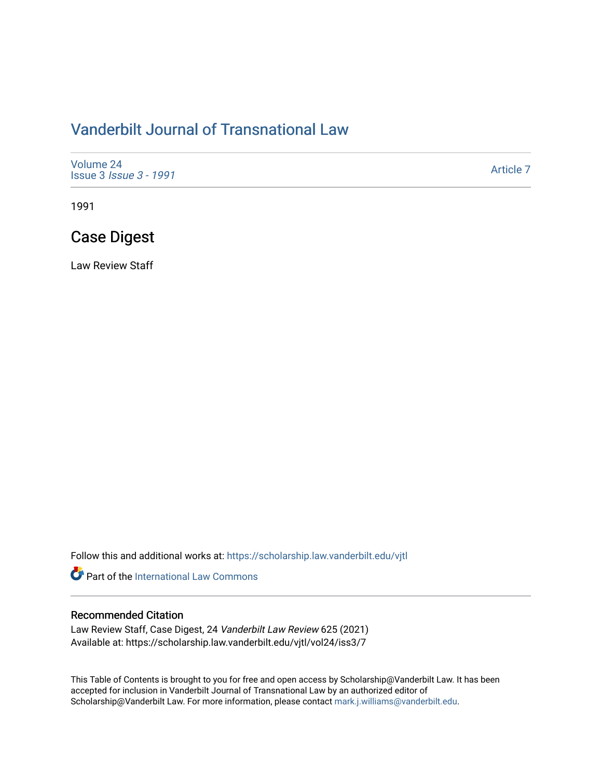# [Vanderbilt Journal of Transnational Law](https://scholarship.law.vanderbilt.edu/vjtl)

| Volume 24<br><b>Issue 3 <i>Issue 3 - 1991</i></b> | Article 7 |
|---------------------------------------------------|-----------|
|---------------------------------------------------|-----------|

1991

# Case Digest

Law Review Staff

Follow this and additional works at: [https://scholarship.law.vanderbilt.edu/vjtl](https://scholarship.law.vanderbilt.edu/vjtl?utm_source=scholarship.law.vanderbilt.edu%2Fvjtl%2Fvol24%2Fiss3%2F7&utm_medium=PDF&utm_campaign=PDFCoverPages) 

**Part of the International Law Commons** 

### Recommended Citation

Law Review Staff, Case Digest, 24 Vanderbilt Law Review 625 (2021) Available at: https://scholarship.law.vanderbilt.edu/vjtl/vol24/iss3/7

This Table of Contents is brought to you for free and open access by Scholarship@Vanderbilt Law. It has been accepted for inclusion in Vanderbilt Journal of Transnational Law by an authorized editor of Scholarship@Vanderbilt Law. For more information, please contact [mark.j.williams@vanderbilt.edu](mailto:mark.j.williams@vanderbilt.edu).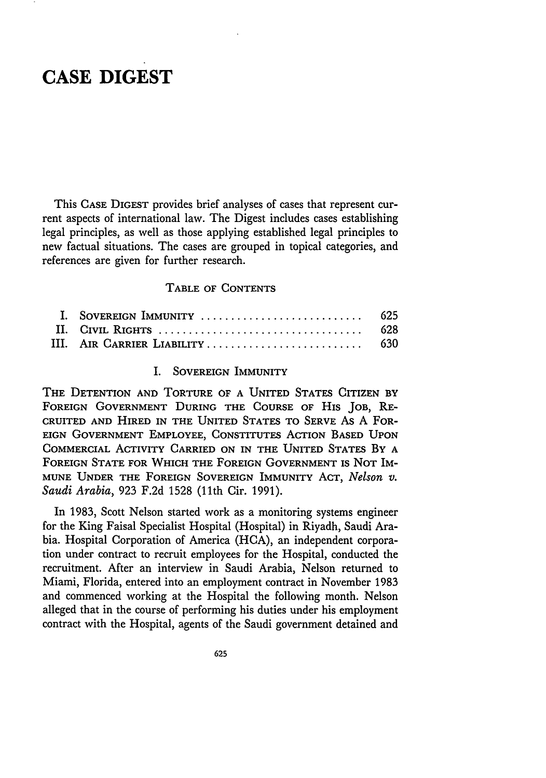### **CASE DIGEST**

This **CASE** DIGEST provides brief analyses of cases that represent current aspects of international law. The Digest includes cases establishing legal principles, as well as those applying established legal principles to new factual situations. The cases are grouped in topical categories, and references are given for further research.

#### **TABLE OF CONTENTS**

| III. AIR CARRIER LIABILITY 630 |  |
|--------------------------------|--|

#### I. **SOVEREIGN** IMMUNITY

THE DETENTION **AND** TORTURE OF **A UNITED STATES CITIZEN** BY **FOREIGN GOVERNMENT DURING** THE **COURSE** OF **HIS** JOB, **RE-CRUITED AND** HIRED IN THE **UNITED STATES** TO **SERVE** As A FOR-EIGN **GOVERNMENT** EMPLOYEE, CONSTITUTES ACTION **BASED UPON** COMMERCIAL ACTIVITY CARRIED **ON** IN THE **UNITED** STATES BY **A FOREIGN STATE FOR** WHICH THE FOREIGN **GOVERNMENT** IS NOT **IM-MUNE UNDER** THE **FOREIGN SOVEREIGN** IMMUNITY **ACT,** *Nelson v. Saudi Arabia,* 923 F.2d 1528 (11th Cir. 1991).

In 1983, Scott Nelson started work as a monitoring systems engineer for the King Faisal Specialist Hospital (Hospital) in Riyadh, Saudi Arabia. Hospital Corporation of America (HCA), an independent corporation under contract to recruit employees for the Hospital, conducted the recruitment. After an interview in Saudi Arabia, Nelson returned to Miami, Florida, entered into an employment contract in November 1983 and commenced working at the Hospital the following month. Nelson alleged that in the course of performing his duties under his employment contract with the Hospital, agents of the Saudi government detained and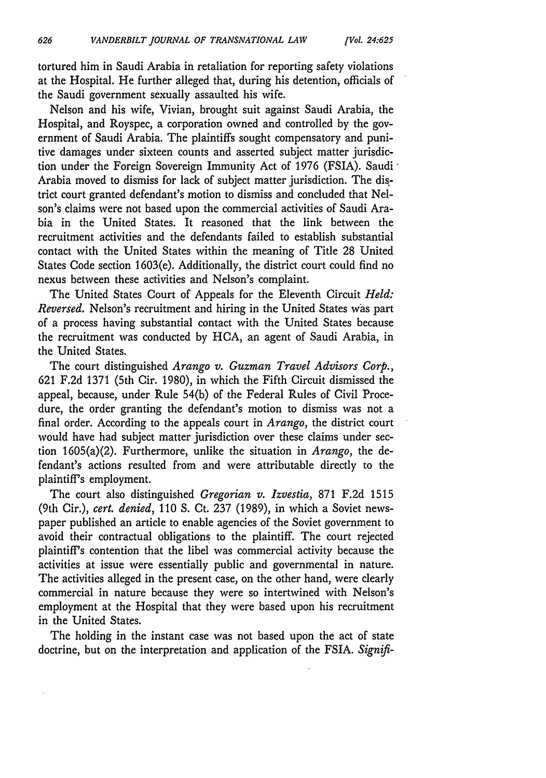tortured him in Saudi Arabia in retaliation for reporting safety violations at the Hospital. He further alleged that, during his detention, officials of the Saudi government sexually assaulted his wife.

Nelson and his wife, Vivian, brought suit against Saudi Arabia, the Hospital, and Royspec, a corporation owned and controlled by the government of Saudi Arabia. The plaintiffs sought compensatory and punitive damages under sixteen counts and asserted subject matter jurisdiction under the Foreign Sovereign Immunity Act of 1976 (FSIA). Saudi Arabia moved to dismiss for lack of subject matter jurisdiction. The district court granted defendant's motion to dismiss and concluded that Nelson's claims were not based upon the commercial activities of Saudi Arabia in the United States. It reasoned that the link between the recruitment activities and the defendants failed to establish substantial contact with the United States within the meaning of Title 28 United States Code section 1603(e). Additionally, the district court could find no nexus between these activities and Nelson's complaint.

The United States Court of Appeals for the Eleventh Circuit *Held: Reversed.* Nelson's recruitment and hiring in the United States was part of a process having substantial contact with the United States because the recruitment was conducted by HCA, an agent of Saudi Arabia, in the United States.

The court distinguished *Arango v. Guzman Travel Advisors Corp.,* 621 F.2d 1371 (5th Cir. 1980), in which the Fifth Circuit dismissed the appeal, because, under Rule 54(b) of the Federal Rules of Civil Procedure, the order granting the defendant's motion to dismiss was not a final order. According to the appeals court in *Arango,* the district court would have had subject matter jurisdiction over these claims under section 1605(a)(2). Furthermore, unlike the situation in *Arango,* the defendant's actions resulted from and were attributable directly to the plaintiff's employment.

The court also distinguished *Gregorian v. Izvestia,* 871 F.2d 1515 (9th Cir.), *cert. denied,* 110 **S.** Ct. 237 (1989), in which a Soviet newspaper published an article to enable agencies of the Soviet government to avoid their contractual obligations to the plaintiff. The court rejected plaintiff's contention that the libel was commercial activity because the activities at issue were essentially public and governmental in nature. The activities alleged in the present case, on the other hand, were clearly commercial in nature because they were so intertwined with Nelson's employment at the Hospital that they were based upon his recruitment in the United States.

The holding in the instant case was not based upon the act of state doctrine, but on the interpretation and application of the FSIA. *Signifi-*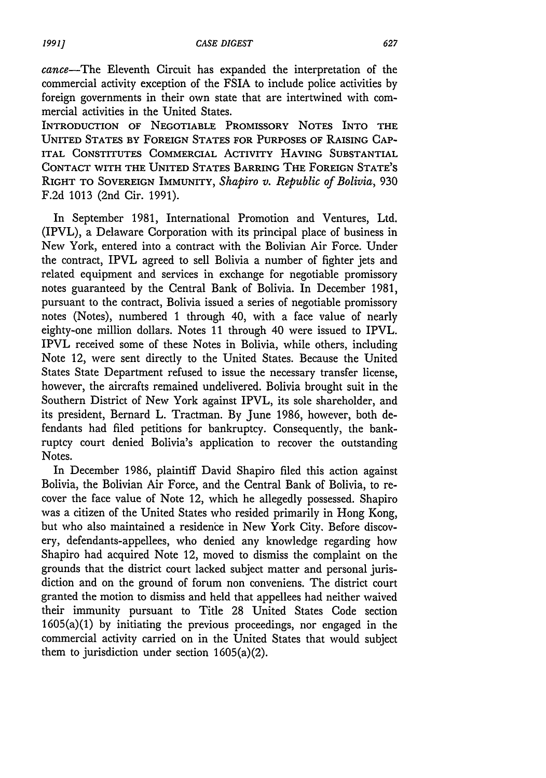cance-The Eleventh Circuit has expanded the interpretation of the commercial activity exception of the FSIA to include police activities by foreign governments in their own state that are intertwined with commercial activities in the United States.

INTRODUCTION **OF NEGOTIABLE** PROMISSORY **NOTES** INTO **THE UNITED STATES BY FOREIGN STATES FOR PURPOSES OF RAISING CAP-**ITAL **CONSTITUTES** COMMERCIAL ACTIVITY HAVING SUBSTANTIAL **CONTACT** WITH THE **UNITED** STATES **BARRING** THE **FOREIGN STATE'S** RIGHT TO SOVEREIGN **IMMUNITY,** *Shapiro v. Republic of Bolivia,* 930 F.2d 1013 (2nd Cir. 1991).

In September 1981, International Promotion and Ventures, Ltd. (IPVL), a Delaware Corporation with its principal place of business in New York, entered into a contract with the Bolivian Air Force. Under the contract, IPVL agreed to sell Bolivia a number of fighter jets and related equipment and services in exchange for negotiable promissory notes guaranteed by the Central Bank of Bolivia. In December 1981, pursuant to the contract, Bolivia issued a series of negotiable promissory notes (Notes), numbered **1** through 40, with a face value of nearly eighty-one million dollars. Notes 11 through 40 were issued to IPVL. IPVL received some of these Notes in Bolivia, while others, including Note 12, were sent directly to the United States. Because the United States State Department refused to issue the necessary transfer license, however, the aircrafts remained undelivered. Bolivia brought suit in the Southern District of New York against IPVL, its sole shareholder, and its president, Bernard L. Tractman. By June 1986, however, both defendants had filed petitions for bankruptcy. Consequently, the bankruptcy court denied Bolivia's application to recover the outstanding Notes.

In December 1986, plaintiff David Shapiro filed this action against Bolivia, the Bolivian Air Force, and the Central Bank of Bolivia, to recover the face value of Note 12, which he allegedly possessed. Shapiro was a citizen of the United States who resided primarily in Hong Kong, but who also maintained a residence in New York City. Before discovery, defendants-appellees, who denied any knowledge regarding how Shapiro had acquired Note 12, moved to dismiss the complaint on the grounds that the district court lacked subject matter and personal jurisdiction and on the ground of forum non conveniens. The district court granted the motion to dismiss and held that appellees had neither waived their immunity pursuant to Title 28 United States Code section 1605(a)(1) by initiating the previous proceedings, nor engaged in the commercial activity carried on in the United States that would subject them to jurisdiction under section 1605(a)(2).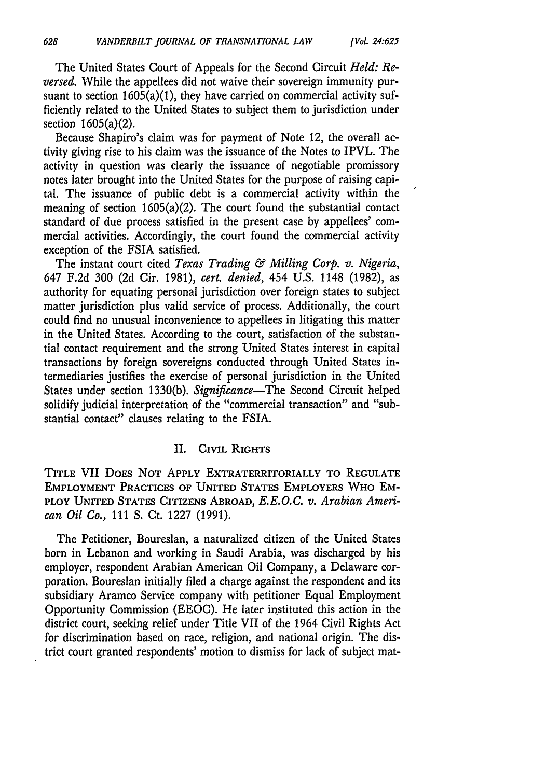The United States Court of Appeals for the Second Circuit *Held: Reversed.* While the appellees did not waive their sovereign immunity pursuant to section  $1605(a)(1)$ , they have carried on commercial activity sufficiently related to the United States to subject them to jurisdiction under section 1605(a)(2).

Because Shapiro's claim was for payment of Note 12, the overall activity giving rise to his claim was the issuance of the Notes to IPVL. The activity in question was clearly the issuance of negotiable promissory notes later brought into the United States for the purpose of raising capital. The issuance of public debt is a commercial activity within the meaning of section 1605(a)(2). The court found the substantial contact standard of due process satisfied in the present case by appellees' commercial activities. Accordingly, the court found the commercial activity exception of the FSIA satisfied.

The instant court cited *Texas Trading & Milling Corp. v. Nigeria,* 647 F.2d 300 (2d Cir. 1981), *cert. denied,* 454 U.S. 1148 (1982), as authority for equating personal jurisdiction over foreign states to subject matter jurisdiction plus valid service of process. Additionally, the court could find no unusual inconvenience to appellees in litigating this matter in the United States. According to the court, satisfaction of the substantial contact requirement and the strong United States interest in capital transactions by foreign sovereigns conducted through United States intermediaries justifies the exercise of personal jurisdiction in the United States under section 1330(b). *Significance-The* Second Circuit helped solidify judicial interpretation of the "commercial transaction" and "substantial contact" clauses relating to the FSIA.

#### II. CIVIL RIGHTS

TITLE VII DoES **NOT APPLY** EXTRATERRITORIALLY TO **REGULATE EMPLOYMENT** PRACTICES **OF UNITED** STATES EMPLOYERS WHO EM-PLOY **UNITED STATES** CITIZENS ABROAD, *E.E.O.C. v. Arabian American Oil Co.,* 111 **S.** Ct. 1227 (1991).

The Petitioner, Boureslan, a naturalized citizen of the United States born in Lebanon and working in Saudi Arabia, was discharged by his employer, respondent Arabian American Oil Company, a Delaware corporation. Boureslan initially filed a charge against the respondent and its subsidiary Aramco Service company with petitioner Equal Employment Opportunity Commission (EEOC). He later instituted this action in the district court, seeking relief under Title VII of the 1964 Civil Rights Act for discrimination based on race, religion, and national origin. The district court granted respondents' motion to dismiss for lack of subject mat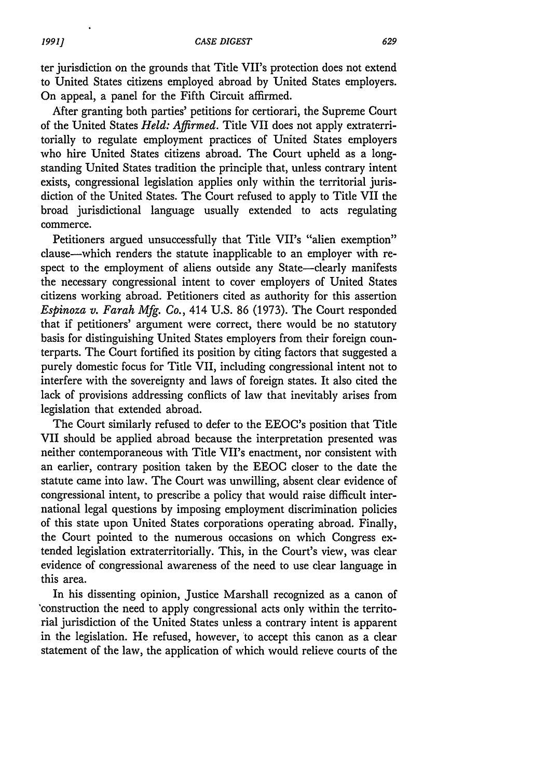ter jurisdiction on the grounds that Title VII's protection does not extend to United States citizens employed abroad by United States employers. On appeal, a panel for the Fifth Circuit affirmed.

After granting both parties' petitions for certiorari, the Supreme Court of the United States *Held: Affirmed.* Title VII does not apply extraterritorially to regulate employment practices of United States employers who hire United States citizens abroad. The Court upheld as a longstanding United States tradition the principle that, unless contrary intent exists, congressional legislation applies only within the territorial jurisdiction of the United States. The Court refused to apply to Title VII the broad jurisdictional language usually extended to acts regulating commerce.

Petitioners argued unsuccessfully that Title VII's "alien exemption" clause-which renders the statute inapplicable to an employer with respect to the employment of aliens outside any State-clearly manifests the necessary congressional intent to cover employers of United States citizens working abroad. Petitioners cited as authority for this assertion *Espinoza v. Farah Mfg. Co.,* 414 U.S. 86 (1973). The Court responded that if petitioners' argument were correct, there would be no statutory basis for distinguishing United States employers from their foreign counterparts. The Court fortified its position by citing factors that suggested a purely domestic focus for Title VII, including congressional intent not to interfere with the sovereignty and laws of foreign states. It also cited the lack of provisions addressing conflicts of law that inevitably arises from legislation that extended abroad.

The Court similarly refused to defer to the EEOC's position that Title VII should be applied abroad because the interpretation presented was neither contemporaneous with Title VII's enactment, nor consistent with an earlier, contrary position taken by the EEOC closer to the date the statute came into law. The Court was unwilling, absent clear evidence of congressional intent, to prescribe a policy that would raise difficult international legal questions by imposing employment discrimination policies of this state upon United States corporations operating abroad. Finally, the Court pointed to the numerous occasions on which Congress extended legislation extraterritorially. This, in the Court's view, was clear evidence of congressional awareness of the need to use clear language in this area.

In his dissenting opinion, Justice Marshall recognized as a canon of construction the need to apply congressional acts only within the territorial jurisdiction of the United States unless a contrary intent is apparent in the legislation. He refused, however, to accept this canon as a clear statement of the law, the application of which would relieve courts of the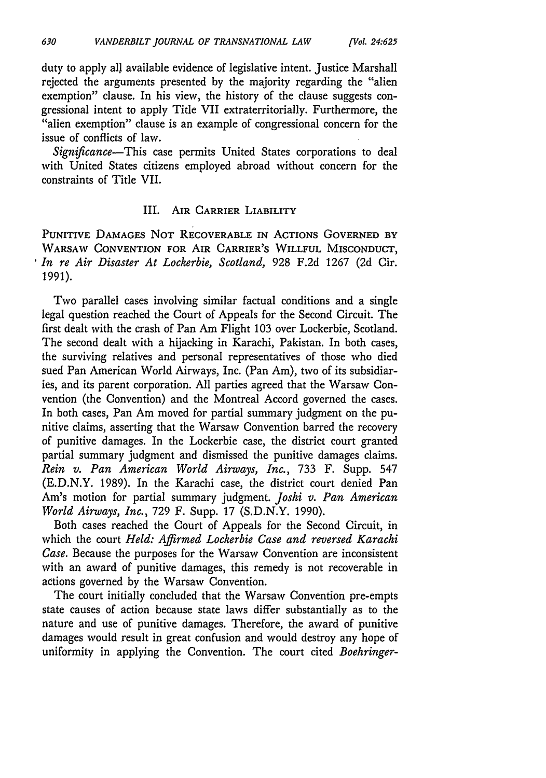duty to apply all available evidence of legislative intent. Justice Marshall rejected the arguments presented by the majority regarding the "alien exemption" clause. In his view, the history of the clause suggests congressional intent to apply Title VII extraterritorially. Furthermore, the "alien exemption" clause is an example of congressional concern for the issue of conflicts of law.

*Significance-This* case permits United States corporations to deal with United States citizens employed abroad without concern for the constraints of Title VII.

#### III. AIR CARRIER LIABILITY

**PUNITIVE** DAMAGES **NOT** RECOVERABLE IN ACTIONS **GOVERNED BY** WARSAW **CONVENTION FOR** AIR CARRIER'S WILLFUL **MISCONDUCT,** *In re Air Disaster At Lockerbie, Scotland,* 928 F.2d 1267 (2d Cir. 1991).

Two parallel cases involving similar factual conditions and a single legal question reached the Court of Appeals for the Second Circuit. The first dealt with the crash of Pan Am Flight 103 over Lockerbie, Scotland. The second dealt with a hijacking in Karachi, Pakistan. In both cases, the surviving relatives and personal representatives of those who died sued Pan American World Airways, Inc. (Pan Am), two of its subsidiaries, and its parent corporation. All parties agreed that the Warsaw Convention (the Convention) and the Montreal Accord governed the cases. In both cases, Pan Am moved for partial summary judgment on the punitive claims, asserting that the Warsaw Convention barred the recovery of punitive damages. In the Lockerbie case, the district court granted partial summary judgment and dismissed the punitive damages claims. *Rein v. Pan American World Airways, Inc.,* 733 F. Supp. 547 (E.D.N.Y. 1989). In the Karachi case, the district court denied Pan Am's motion for partial summary judgment. *Joshi v. Pan American World Airways, Inc.,* 729 F. Supp. 17 (S.D.N.Y. 1990).

Both cases reached the Court of Appeals for the Second Circuit, in which the court *Held: Affirmed Lockerbie Case and reversed Karachi Case.* Because the purposes for the Warsaw Convention are inconsistent with an award of punitive damages, this remedy is not recoverable in actions governed by the Warsaw Convention.

The court initially concluded that the Warsaw Convention pre-empts state causes of action because state laws differ substantially as to the nature and use of punitive damages. Therefore, the award of punitive damages would result in great confusion and would destroy any hope of uniformity in applying the Convention. The court cited *Boehringer-*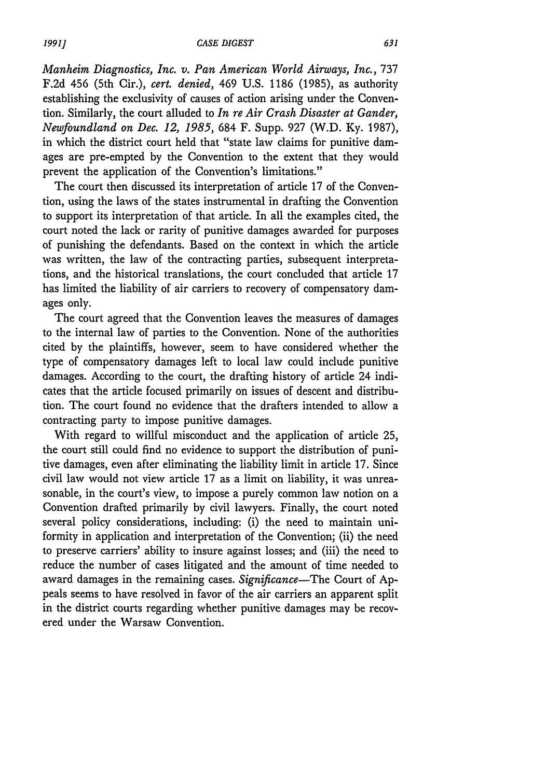*Manheim Diagnostics, Inc. v. Pan American World Airways, Inc.,* 737 F.2d 456 (5th Cir.), *cert. denied,* 469 U.S. 1186 (1985), as authority establishing the exclusivity of causes of action arising under the Convention. Similarly, the court alluded to *In re Air Crash Disaster at Gander, Newfoundland on Dec. 12, 1985,* 684 F. Supp. 927 (W.D. Ky. 1987), in which the district court held that "state law claims for punitive damages are pre-empted by the Convention to the extent that they would prevent the application of the Convention's limitations."

The court then discussed its interpretation of article 17 of the Convention, using the laws of the states instrumental in drafting the Convention to support its interpretation of that article. In all the examples cited, the court noted the lack or rarity of punitive damages awarded for purposes of punishing the defendants. Based on the context in which the article was written, the law of the contracting parties, subsequent interpretations, and the historical translations, the court concluded that article 17 has limited the liability of air carriers to recovery of compensatory damages only.

The court agreed that the Convention leaves the measures of damages to the internal law of parties to the Convention. None of the authorities cited by the plaintiffs, however, seem to have considered whether the type of compensatory damages left to local law could include punitive damages. According to the court, the drafting history of article 24 indicates that the article focused primarily on issues of descent and distribution. The court found no evidence that the drafters intended to allow a contracting party to impose punitive damages.

With regard to willful misconduct and the application of article 25, the court still could find no evidence to support the distribution of punitive damages, even after eliminating the liability limit in article 17. Since civil law would not view article 17 as a limit on liability, it was unreasonable, in the court's view, to impose a purely common law notion on a Convention drafted primarily by civil lawyers. Finally, the court noted several policy considerations, including: (i) the need to maintain uniformity in application and interpretation of the Convention; (ii) the need to preserve carriers' ability to insure against losses; and (iii) the need to reduce the number of cases litigated and the amount of time needed to award damages in the remaining cases. *Significance-The* Court of Appeals seems to have resolved in favor of the air carriers an apparent split in the district courts regarding whether punitive damages may be recovered under the Warsaw Convention.